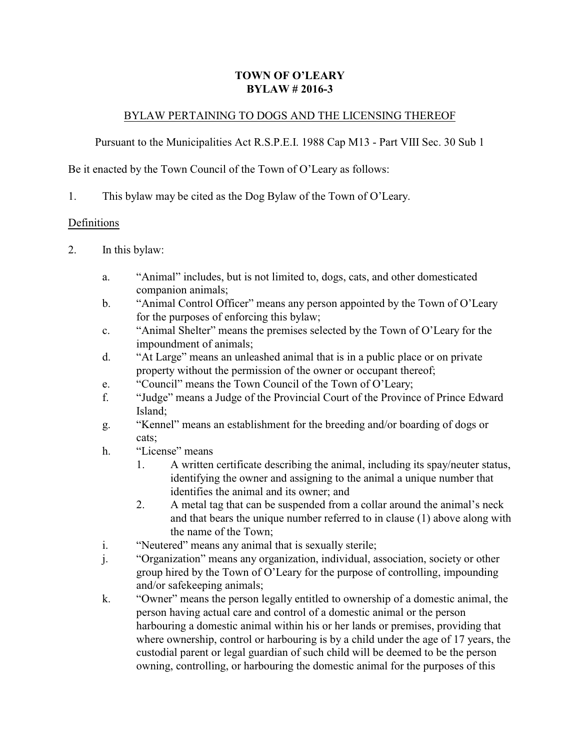## **TOWN OF O'LEARY BYLAW # 2016-3**

### BYLAW PERTAINING TO DOGS AND THE LICENSING THEREOF

Pursuant to the Municipalities Act R.S.P.E.I. 1988 Cap M13 - Part VIII Sec. 30 Sub 1

Be it enacted by the Town Council of the Town of O'Leary as follows:

1. This bylaw may be cited as the Dog Bylaw of the Town of O'Leary.

#### Definitions

- 2. In this bylaw:
	- a. "Animal" includes, but is not limited to, dogs, cats, and other domesticated companion animals;
	- b. "Animal Control Officer" means any person appointed by the Town of O'Leary for the purposes of enforcing this bylaw;
	- c. "Animal Shelter" means the premises selected by the Town of O'Leary for the impoundment of animals;
	- d. "At Large" means an unleashed animal that is in a public place or on private property without the permission of the owner or occupant thereof;
	- e. "Council" means the Town Council of the Town of O'Leary;
	- f. "Judge" means a Judge of the Provincial Court of the Province of Prince Edward Island;
	- g. "Kennel" means an establishment for the breeding and/or boarding of dogs or cats;
	- h. "License" means
		- 1. A written certificate describing the animal, including its spay/neuter status, identifying the owner and assigning to the animal a unique number that identifies the animal and its owner; and
		- 2. A metal tag that can be suspended from a collar around the animal's neck and that bears the unique number referred to in clause (1) above along with the name of the Town;
	- i. "Neutered" means any animal that is sexually sterile;
	- j. "Organization" means any organization, individual, association, society or other group hired by the Town of O'Leary for the purpose of controlling, impounding and/or safekeeping animals;
	- k. "Owner" means the person legally entitled to ownership of a domestic animal, the person having actual care and control of a domestic animal or the person harbouring a domestic animal within his or her lands or premises, providing that where ownership, control or harbouring is by a child under the age of 17 years, the custodial parent or legal guardian of such child will be deemed to be the person owning, controlling, or harbouring the domestic animal for the purposes of this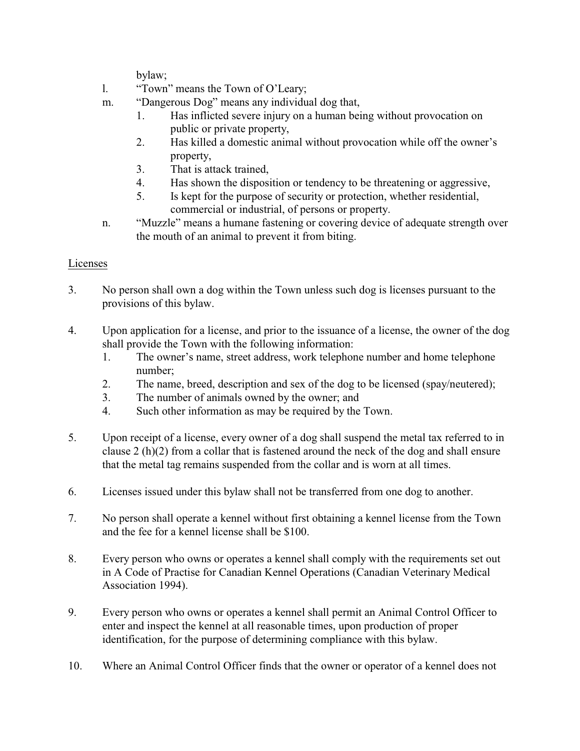bylaw;

- l. "Town" means the Town of O'Leary;
- m. "Dangerous Dog" means any individual dog that,
	- 1. Has inflicted severe injury on a human being without provocation on public or private property,
	- 2. Has killed a domestic animal without provocation while off the owner's property,
	- 3. That is attack trained,
	- 4. Has shown the disposition or tendency to be threatening or aggressive,
	- 5. Is kept for the purpose of security or protection, whether residential, commercial or industrial, of persons or property.
- n. "Muzzle" means a humane fastening or covering device of adequate strength over the mouth of an animal to prevent it from biting.

# Licenses

- 3. No person shall own a dog within the Town unless such dog is licenses pursuant to the provisions of this bylaw.
- 4. Upon application for a license, and prior to the issuance of a license, the owner of the dog shall provide the Town with the following information:
	- 1. The owner's name, street address, work telephone number and home telephone number;
	- 2. The name, breed, description and sex of the dog to be licensed (spay/neutered);
	- 3. The number of animals owned by the owner; and
	- 4. Such other information as may be required by the Town.
- 5. Upon receipt of a license, every owner of a dog shall suspend the metal tax referred to in clause 2 (h)(2) from a collar that is fastened around the neck of the dog and shall ensure that the metal tag remains suspended from the collar and is worn at all times.
- 6. Licenses issued under this bylaw shall not be transferred from one dog to another.
- 7. No person shall operate a kennel without first obtaining a kennel license from the Town and the fee for a kennel license shall be \$100.
- 8. Every person who owns or operates a kennel shall comply with the requirements set out in A Code of Practise for Canadian Kennel Operations (Canadian Veterinary Medical Association 1994).
- 9. Every person who owns or operates a kennel shall permit an Animal Control Officer to enter and inspect the kennel at all reasonable times, upon production of proper identification, for the purpose of determining compliance with this bylaw.
- 10. Where an Animal Control Officer finds that the owner or operator of a kennel does not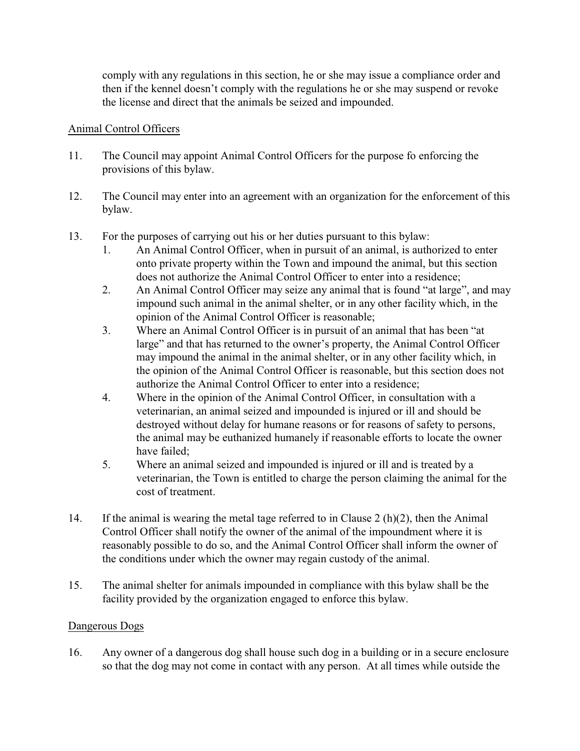comply with any regulations in this section, he or she may issue a compliance order and then if the kennel doesn't comply with the regulations he or she may suspend or revoke the license and direct that the animals be seized and impounded.

### Animal Control Officers

- 11. The Council may appoint Animal Control Officers for the purpose fo enforcing the provisions of this bylaw.
- 12. The Council may enter into an agreement with an organization for the enforcement of this bylaw.
- 13. For the purposes of carrying out his or her duties pursuant to this bylaw:
	- 1. An Animal Control Officer, when in pursuit of an animal, is authorized to enter onto private property within the Town and impound the animal, but this section does not authorize the Animal Control Officer to enter into a residence;
	- 2. An Animal Control Officer may seize any animal that is found "at large", and may impound such animal in the animal shelter, or in any other facility which, in the opinion of the Animal Control Officer is reasonable;
	- 3. Where an Animal Control Officer is in pursuit of an animal that has been "at large" and that has returned to the owner's property, the Animal Control Officer may impound the animal in the animal shelter, or in any other facility which, in the opinion of the Animal Control Officer is reasonable, but this section does not authorize the Animal Control Officer to enter into a residence;
	- 4. Where in the opinion of the Animal Control Officer, in consultation with a veterinarian, an animal seized and impounded is injured or ill and should be destroyed without delay for humane reasons or for reasons of safety to persons, the animal may be euthanized humanely if reasonable efforts to locate the owner have failed;
	- 5. Where an animal seized and impounded is injured or ill and is treated by a veterinarian, the Town is entitled to charge the person claiming the animal for the cost of treatment.
- 14. If the animal is wearing the metal tage referred to in Clause 2 (h)(2), then the Animal Control Officer shall notify the owner of the animal of the impoundment where it is reasonably possible to do so, and the Animal Control Officer shall inform the owner of the conditions under which the owner may regain custody of the animal.
- 15. The animal shelter for animals impounded in compliance with this bylaw shall be the facility provided by the organization engaged to enforce this bylaw.

### Dangerous Dogs

16. Any owner of a dangerous dog shall house such dog in a building or in a secure enclosure so that the dog may not come in contact with any person. At all times while outside the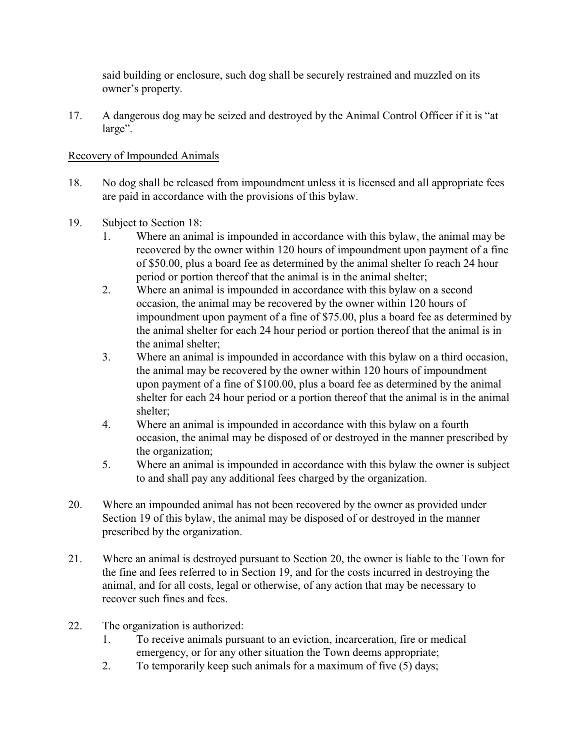said building or enclosure, such dog shall be securely restrained and muzzled on its owner's property.

17. A dangerous dog may be seized and destroyed by the Animal Control Officer if it is "at large".

## Recovery of Impounded Animals

- 18. No dog shall be released from impoundment unless it is licensed and all appropriate fees are paid in accordance with the provisions of this bylaw.
- 19. Subject to Section 18:
	- 1. Where an animal is impounded in accordance with this bylaw, the animal may be recovered by the owner within 120 hours of impoundment upon payment of a fine of \$50.00, plus a board fee as determined by the animal shelter fo reach 24 hour period or portion thereof that the animal is in the animal shelter;
	- 2. Where an animal is impounded in accordance with this bylaw on a second occasion, the animal may be recovered by the owner within 120 hours of impoundment upon payment of a fine of \$75.00, plus a board fee as determined by the animal shelter for each 24 hour period or portion thereof that the animal is in the animal shelter;
	- 3. Where an animal is impounded in accordance with this bylaw on a third occasion, the animal may be recovered by the owner within 120 hours of impoundment upon payment of a fine of \$100.00, plus a board fee as determined by the animal shelter for each 24 hour period or a portion thereof that the animal is in the animal shelter;
	- 4. Where an animal is impounded in accordance with this bylaw on a fourth occasion, the animal may be disposed of or destroyed in the manner prescribed by the organization;
	- 5. Where an animal is impounded in accordance with this bylaw the owner is subject to and shall pay any additional fees charged by the organization.
- 20. Where an impounded animal has not been recovered by the owner as provided under Section 19 of this bylaw, the animal may be disposed of or destroyed in the manner prescribed by the organization.
- 21. Where an animal is destroyed pursuant to Section 20, the owner is liable to the Town for the fine and fees referred to in Section 19, and for the costs incurred in destroying the animal, and for all costs, legal or otherwise, of any action that may be necessary to recover such fines and fees.
- 22. The organization is authorized:
	- 1. To receive animals pursuant to an eviction, incarceration, fire or medical emergency, or for any other situation the Town deems appropriate;
	- 2. To temporarily keep such animals for a maximum of five (5) days;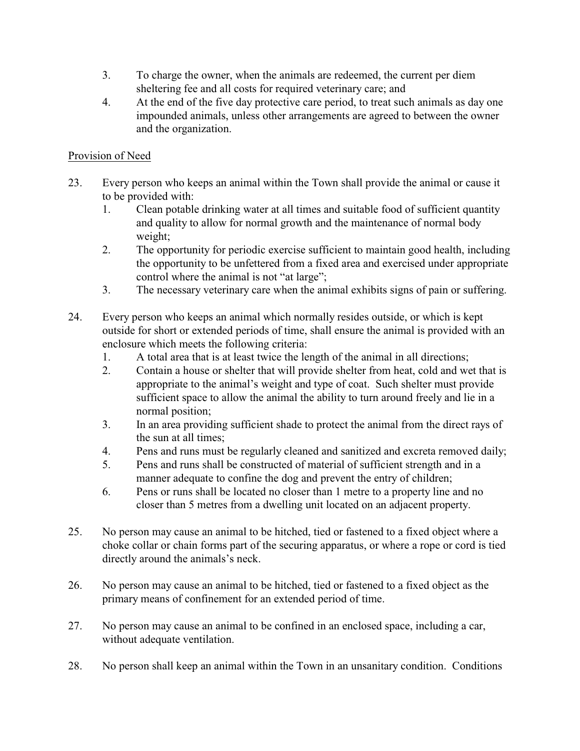- 3. To charge the owner, when the animals are redeemed, the current per diem sheltering fee and all costs for required veterinary care; and
- 4. At the end of the five day protective care period, to treat such animals as day one impounded animals, unless other arrangements are agreed to between the owner and the organization.

# Provision of Need

- 23. Every person who keeps an animal within the Town shall provide the animal or cause it to be provided with:
	- 1. Clean potable drinking water at all times and suitable food of sufficient quantity and quality to allow for normal growth and the maintenance of normal body weight;
	- 2. The opportunity for periodic exercise sufficient to maintain good health, including the opportunity to be unfettered from a fixed area and exercised under appropriate control where the animal is not "at large";
	- 3. The necessary veterinary care when the animal exhibits signs of pain or suffering.
- 24. Every person who keeps an animal which normally resides outside, or which is kept outside for short or extended periods of time, shall ensure the animal is provided with an enclosure which meets the following criteria:
	- 1. A total area that is at least twice the length of the animal in all directions;
	- 2. Contain a house or shelter that will provide shelter from heat, cold and wet that is appropriate to the animal's weight and type of coat. Such shelter must provide sufficient space to allow the animal the ability to turn around freely and lie in a normal position;
	- 3. In an area providing sufficient shade to protect the animal from the direct rays of the sun at all times;
	- 4. Pens and runs must be regularly cleaned and sanitized and excreta removed daily;
	- 5. Pens and runs shall be constructed of material of sufficient strength and in a manner adequate to confine the dog and prevent the entry of children;
	- 6. Pens or runs shall be located no closer than 1 metre to a property line and no closer than 5 metres from a dwelling unit located on an adjacent property.
- 25. No person may cause an animal to be hitched, tied or fastened to a fixed object where a choke collar or chain forms part of the securing apparatus, or where a rope or cord is tied directly around the animals's neck.
- 26. No person may cause an animal to be hitched, tied or fastened to a fixed object as the primary means of confinement for an extended period of time.
- 27. No person may cause an animal to be confined in an enclosed space, including a car, without adequate ventilation.
- 28. No person shall keep an animal within the Town in an unsanitary condition. Conditions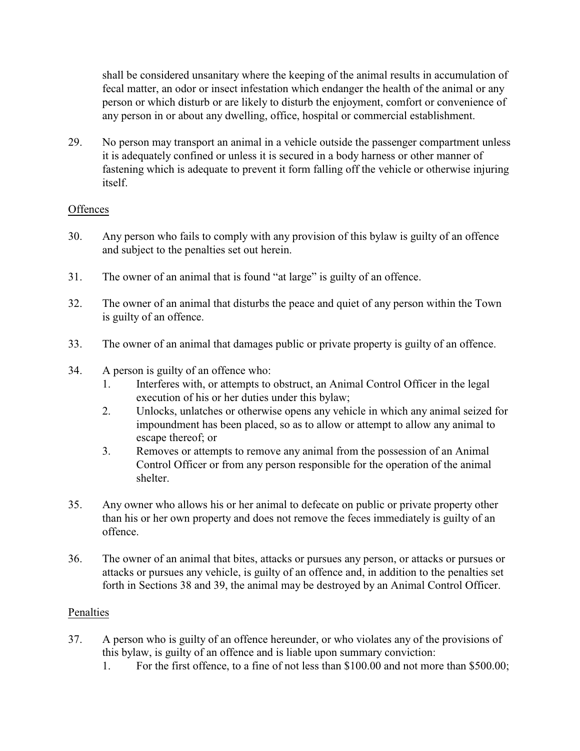shall be considered unsanitary where the keeping of the animal results in accumulation of fecal matter, an odor or insect infestation which endanger the health of the animal or any person or which disturb or are likely to disturb the enjoyment, comfort or convenience of any person in or about any dwelling, office, hospital or commercial establishment.

29. No person may transport an animal in a vehicle outside the passenger compartment unless it is adequately confined or unless it is secured in a body harness or other manner of fastening which is adequate to prevent it form falling off the vehicle or otherwise injuring itself.

### **Offences**

- 30. Any person who fails to comply with any provision of this bylaw is guilty of an offence and subject to the penalties set out herein.
- 31. The owner of an animal that is found "at large" is guilty of an offence.
- 32. The owner of an animal that disturbs the peace and quiet of any person within the Town is guilty of an offence.
- 33. The owner of an animal that damages public or private property is guilty of an offence.
- 34. A person is guilty of an offence who:
	- 1. Interferes with, or attempts to obstruct, an Animal Control Officer in the legal execution of his or her duties under this bylaw;
	- 2. Unlocks, unlatches or otherwise opens any vehicle in which any animal seized for impoundment has been placed, so as to allow or attempt to allow any animal to escape thereof; or
	- 3. Removes or attempts to remove any animal from the possession of an Animal Control Officer or from any person responsible for the operation of the animal shelter.
- 35. Any owner who allows his or her animal to defecate on public or private property other than his or her own property and does not remove the feces immediately is guilty of an offence.
- 36. The owner of an animal that bites, attacks or pursues any person, or attacks or pursues or attacks or pursues any vehicle, is guilty of an offence and, in addition to the penalties set forth in Sections 38 and 39, the animal may be destroyed by an Animal Control Officer.

#### Penalties

- 37. A person who is guilty of an offence hereunder, or who violates any of the provisions of this bylaw, is guilty of an offence and is liable upon summary conviction:
	- 1. For the first offence, to a fine of not less than \$100.00 and not more than \$500.00;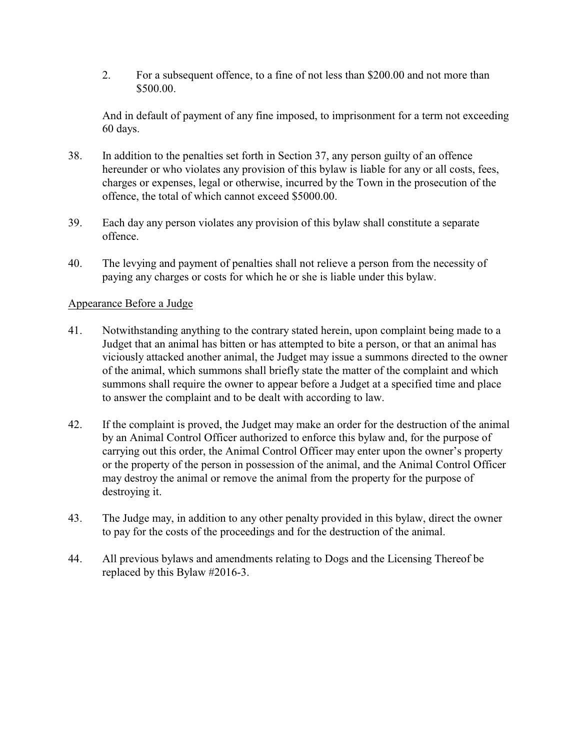2. For a subsequent offence, to a fine of not less than \$200.00 and not more than \$500.00.

And in default of payment of any fine imposed, to imprisonment for a term not exceeding 60 days.

- 38. In addition to the penalties set forth in Section 37, any person guilty of an offence hereunder or who violates any provision of this bylaw is liable for any or all costs, fees, charges or expenses, legal or otherwise, incurred by the Town in the prosecution of the offence, the total of which cannot exceed \$5000.00.
- 39. Each day any person violates any provision of this bylaw shall constitute a separate offence.
- 40. The levying and payment of penalties shall not relieve a person from the necessity of paying any charges or costs for which he or she is liable under this bylaw.

#### Appearance Before a Judge

- 41. Notwithstanding anything to the contrary stated herein, upon complaint being made to a Judget that an animal has bitten or has attempted to bite a person, or that an animal has viciously attacked another animal, the Judget may issue a summons directed to the owner of the animal, which summons shall briefly state the matter of the complaint and which summons shall require the owner to appear before a Judget at a specified time and place to answer the complaint and to be dealt with according to law.
- 42. If the complaint is proved, the Judget may make an order for the destruction of the animal by an Animal Control Officer authorized to enforce this bylaw and, for the purpose of carrying out this order, the Animal Control Officer may enter upon the owner's property or the property of the person in possession of the animal, and the Animal Control Officer may destroy the animal or remove the animal from the property for the purpose of destroying it.
- 43. The Judge may, in addition to any other penalty provided in this bylaw, direct the owner to pay for the costs of the proceedings and for the destruction of the animal.
- 44. All previous bylaws and amendments relating to Dogs and the Licensing Thereof be replaced by this Bylaw #2016-3.